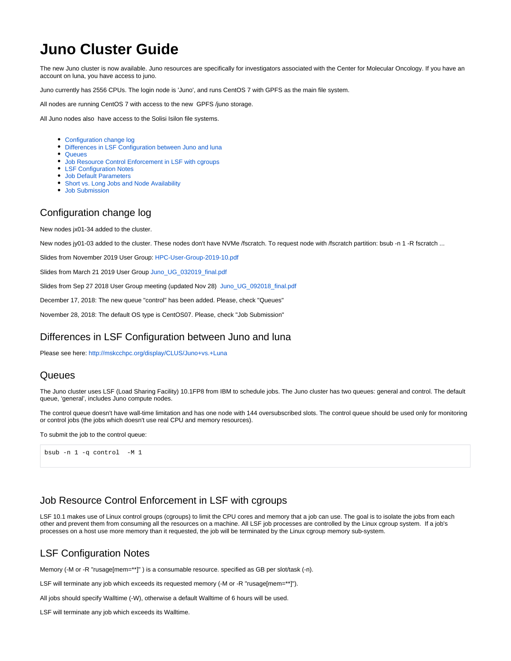# **Juno Cluster Guide**

The new Juno cluster is now available. Juno resources are specifically for investigators associated with the Center for Molecular Oncology. If you have an account on luna, you have access to juno.

Juno currently has 2556 CPUs. The login node is 'Juno', and runs CentOS 7 with GPFS as the main file system.

All nodes are running CentOS 7 with access to the new GPFS /juno storage.

All Juno nodes also have access to the Solisi Isilon file systems.

- [Configuration change log](#page-0-0)
- [Differences in LSF Configuration between Juno and luna](#page-0-1)
- [Queues](#page-0-2)
- **[Job Resource Control Enforcement in LSF with cgroups](#page-0-3)**
- [LSF Configuration Notes](#page-0-4)
- [Job Default Parameters](#page-1-0)
- [Short vs. Long Jobs and Node Availability](#page-1-1)
- [Job Submission](#page-1-2)

# <span id="page-0-0"></span>Configuration change log

New nodes jx01-34 added to the cluster.

New nodes jy01-03 added to the cluster. These nodes don't have NVMe /fscratch. To request node with /fscratch partition: bsub -n 1 -R fscratch ...

Slides from November 2019 User Group: [HPC-User-Group-2019-10.pdf](https://hpcdocs.mskcc.org/download/attachments/3211613/HPC-User-Group-2019-10.pdf?version=1&modificationDate=1593437946672&api=v2)

Slides from March 21 2019 User Group [Juno\\_UG\\_032019\\_final.pdf](https://hpcdocs.mskcc.org/download/attachments/3211613/Juno_UG_032019_final.pdf?version=1&modificationDate=1568055358534&api=v2)

Slides from Sep 27 2018 User Group meeting (updated Nov 28) [Juno\\_UG\\_092018\\_final.pdf](https://hpcdocs.mskcc.org/download/attachments/3211613/Juno_UG_092018_final.pdf?version=1&modificationDate=1543424732178&api=v2)

December 17, 2018: The new queue "control" has been added. Please, check "Queues"

November 28, 2018: The default OS type is CentOS07. Please, check "Job Submission"

#### <span id="page-0-1"></span>Differences in LSF Configuration between Juno and luna

Please see here:<http://mskcchpc.org/display/CLUS/Juno+vs.+Luna>

#### <span id="page-0-2"></span>Queues

The Juno cluster uses LSF (Load Sharing Facility) 10.1FP8 from IBM to schedule jobs. The Juno cluster has two queues: general and control. The default queue, 'general', includes Juno compute nodes.

The control queue doesn't have wall-time limitation and has one node with 144 oversubscribed slots. The control queue should be used only for monitoring or control jobs (the jobs which doesn't use real CPU and memory resources).

To submit the job to the control queue:

bsub -n 1 -q control -M 1

### <span id="page-0-3"></span>Job Resource Control Enforcement in LSF with cgroups

LSF 10.1 makes use of Linux control groups (cgroups) to limit the CPU cores and memory that a job can use. The goal is to isolate the jobs from each other and prevent them from consuming all the resources on a machine. All LSF job processes are controlled by the Linux cgroup system. If a job's processes on a host use more memory than it requested, the job will be terminated by the Linux cgroup memory sub-system.

# <span id="page-0-4"></span>LSF Configuration Notes

Memory (-M or -R "rusage[mem=\*\*]" ) is a consumable resource. specified as GB per slot/task (-n).

LSF will terminate any job which exceeds its requested memory (-M or -R "rusage[mem=\*\*]").

All jobs should specify Walltime (-W), otherwise a default Walltime of 6 hours will be used.

LSF will terminate any job which exceeds its Walltime.